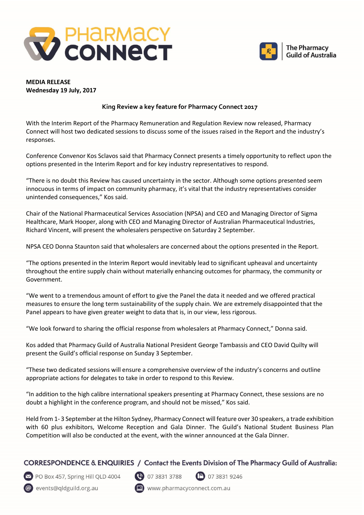



## **MEDIA RELEASE Wednesday 19 July, 2017**

## **King Review a key feature for Pharmacy Connect 2017**

With the Interim Report of the Pharmacy Remuneration and Regulation Review now released, Pharmacy Connect will host two dedicated sessions to discuss some of the issues raised in the Report and the industry's responses.

Conference Convenor Kos Sclavos said that Pharmacy Connect presents a timely opportunity to reflect upon the options presented in the Interim Report and for key industry representatives to respond.

"There is no doubt this Review has caused uncertainty in the sector. Although some options presented seem innocuous in terms of impact on community pharmacy, it's vital that the industry representatives consider unintended consequences," Kos said.

Chair of the National Pharmaceutical Services Association (NPSA) and CEO and Managing Director of Sigma Healthcare, Mark Hooper, along with CEO and Managing Director of Australian Pharmaceutical Industries, Richard Vincent, will present the wholesalers perspective on Saturday 2 September.

NPSA CEO Donna Staunton said that wholesalers are concerned about the options presented in the Report.

"The options presented in the Interim Report would inevitably lead to significant upheaval and uncertainty throughout the entire supply chain without materially enhancing outcomes for pharmacy, the community or Government.

"We went to a tremendous amount of effort to give the Panel the data it needed and we offered practical measures to ensure the long term sustainability of the supply chain. We are extremely disappointed that the Panel appears to have given greater weight to data that is, in our view, less rigorous.

"We look forward to sharing the official response from wholesalers at Pharmacy Connect," Donna said.

Kos added that Pharmacy Guild of Australia National President George Tambassis and CEO David Quilty will present the Guild's official response on Sunday 3 September.

"These two dedicated sessions will ensure a comprehensive overview of the industry's concerns and outline appropriate actions for delegates to take in order to respond to this Review.

"In addition to the high calibre international speakers presenting at Pharmacy Connect, these sessions are no doubt a highlight in the conference program, and should not be missed," Kos said.

Held from 1- 3 September at the Hilton Sydney, Pharmacy Connect will feature over 30 speakers, a trade exhibition with 60 plus exhibitors, Welcome Reception and Gala Dinner. The Guild's National Student Business Plan Competition will also be conducted at the event, with the winner announced at the Gala Dinner.

## CORRESPONDENCE & ENQUIRIES / Contact the Events Division of The Pharmacy Guild of Australia:



PO Box 457, Spring Hill QLD 4004

@ events@qldguild.org.au



**D** 07 3831 9246

www.pharmacyconnect.com.au